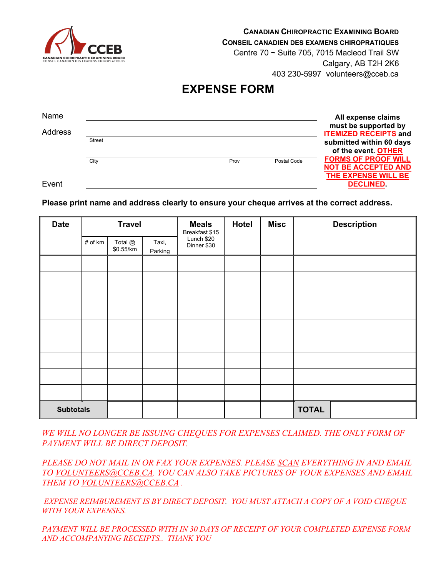

**CANADIAN CHIROPRACTIC EXAMINING BOARD**

**CONSEIL CANADIEN DES EXAMENS CHIROPRATIQUES**

Centre 70 ~ Suite 705, 7015 Macleod Trail SW Calgary, AB T2H 2K6 403 230-5997 volunteers@cceb.ca

## **EXPENSE FORM**

| Name    |        |      |             | All expense claims<br>must be supported by                                      |
|---------|--------|------|-------------|---------------------------------------------------------------------------------|
| Address |        |      |             | <b>ITEMIZED RECEIPTS and</b>                                                    |
|         | Street |      |             | submitted within 60 days                                                        |
|         |        |      |             | of the event. OTHER                                                             |
|         | City   | Prov | Postal Code | <b>FORMS OF PROOF WILL</b><br><b>NOT BE ACCEPTED AND</b><br>THE EXPENSE WILL BE |
| Event   |        |      |             | <b>DECLINED</b>                                                                 |

**Please print name and address clearly to ensure your cheque arrives at the correct address.**

| <b>Travel</b><br><b>Date</b> |         |                      | <b>Meals</b><br>Breakfast \$15 | <b>Misc</b><br><b>Hotel</b> | <b>Description</b> |              |  |  |
|------------------------------|---------|----------------------|--------------------------------|-----------------------------|--------------------|--------------|--|--|
|                              | # of km | Total @<br>\$0.55/km | Taxi,<br>Parking               | Lunch \$20<br>Dinner \$30   |                    |              |  |  |
|                              |         |                      |                                |                             |                    |              |  |  |
|                              |         |                      |                                |                             |                    |              |  |  |
|                              |         |                      |                                |                             |                    |              |  |  |
|                              |         |                      |                                |                             |                    |              |  |  |
|                              |         |                      |                                |                             |                    |              |  |  |
|                              |         |                      |                                |                             |                    |              |  |  |
|                              |         |                      |                                |                             |                    |              |  |  |
|                              |         |                      |                                |                             |                    |              |  |  |
|                              |         |                      |                                |                             |                    |              |  |  |
| <b>Subtotals</b>             |         |                      |                                |                             |                    | <b>TOTAL</b> |  |  |

*WE WILL NO LONGER BE ISSUING CHEQUES FOR EXPENSES CLAIMED. THE ONLY FORM OF PAYMENT WILL BE DIRECT DEPOSIT.*

*PLEASE DO NOT MAIL IN OR FAX YOUR EXPENSES. PLEASE SCAN EVERYTHING IN AND EMAIL TO [VOLUNTEERS@CCEB.CA.](mailto:VOLUNTEERS@CCEB.CA) YOU CAN ALSO TAKE PICTURES OF YOUR EXPENSES AND EMAIL THEM TO [VOLUNTEERS@CCEB.CA](mailto:VOLUNTEERS@CCEB.CA) .*

*EXPENSE REIMBUREMENT IS BY DIRECT DEPOSIT. YOU MUST ATTACH A COPY OF A VOID CHEQUE WITH YOUR EXPENSES.*

*PAYMENT WILL BE PROCESSED WITH IN 30 DAYS OF RECEIPT OF YOUR COMPLETED EXPENSE FORM AND ACCOMPANYING RECEIPTS.. THANK YOU*